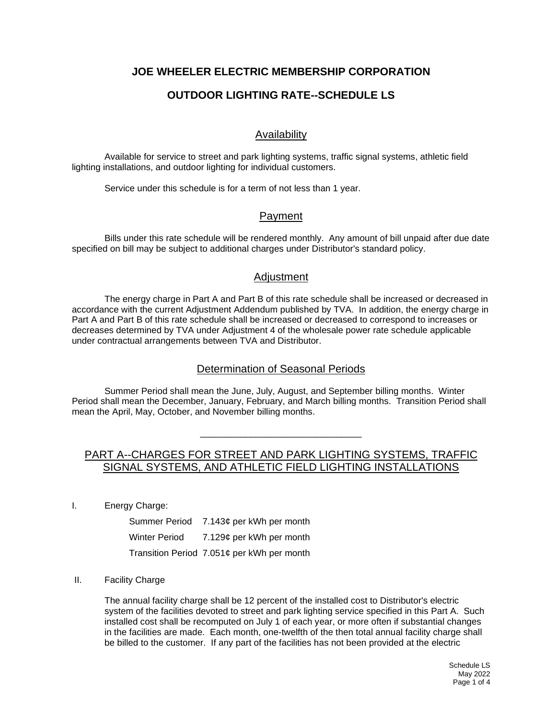# **JOE WHEELER ELECTRIC MEMBERSHIP CORPORATION**

# **OUTDOOR LIGHTING RATE--SCHEDULE LS**

## Availability

Available for service to street and park lighting systems, traffic signal systems, athletic field lighting installations, and outdoor lighting for individual customers.

Service under this schedule is for a term of not less than 1 year.

#### Payment

Bills under this rate schedule will be rendered monthly. Any amount of bill unpaid after due date specified on bill may be subject to additional charges under Distributor's standard policy.

#### **Adjustment**

The energy charge in Part A and Part B of this rate schedule shall be increased or decreased in accordance with the current Adjustment Addendum published by TVA. In addition, the energy charge in Part A and Part B of this rate schedule shall be increased or decreased to correspond to increases or decreases determined by TVA under Adjustment 4 of the wholesale power rate schedule applicable under contractual arrangements between TVA and Distributor.

## Determination of Seasonal Periods

Summer Period shall mean the June, July, August, and September billing months. Winter Period shall mean the December, January, February, and March billing months. Transition Period shall mean the April, May, October, and November billing months.

# PART A--CHARGES FOR STREET AND PARK LIGHTING SYSTEMS, TRAFFIC SIGNAL SYSTEMS, AND ATHLETIC FIELD LIGHTING INSTALLATIONS

\_\_\_\_\_\_\_\_\_\_\_\_\_\_\_\_\_\_\_\_\_\_\_\_\_\_\_\_\_\_\_\_

I. Energy Charge:

|               | Summer Period 7.143¢ per kWh per month     |
|---------------|--------------------------------------------|
| Winter Period | 7.129¢ per kWh per month                   |
|               | Transition Period 7.051¢ per kWh per month |

#### II. Facility Charge

The annual facility charge shall be 12 percent of the installed cost to Distributor's electric system of the facilities devoted to street and park lighting service specified in this Part A. Such installed cost shall be recomputed on July 1 of each year, or more often if substantial changes in the facilities are made. Each month, one-twelfth of the then total annual facility charge shall be billed to the customer. If any part of the facilities has not been provided at the electric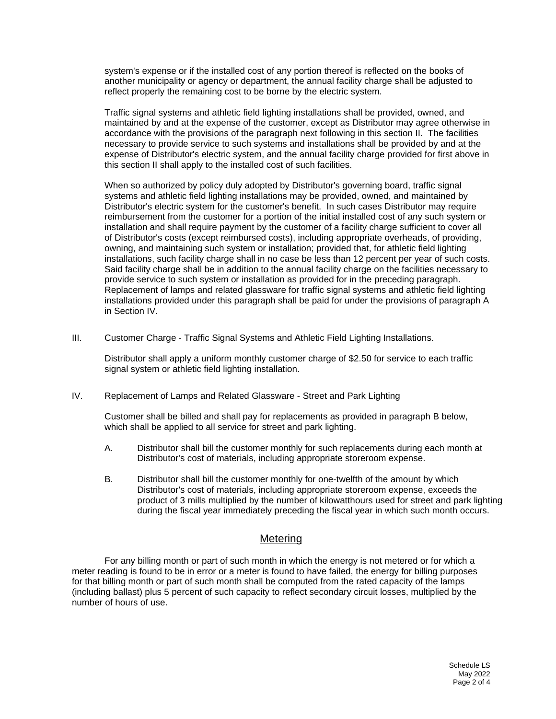system's expense or if the installed cost of any portion thereof is reflected on the books of another municipality or agency or department, the annual facility charge shall be adjusted to reflect properly the remaining cost to be borne by the electric system.

Traffic signal systems and athletic field lighting installations shall be provided, owned, and maintained by and at the expense of the customer, except as Distributor may agree otherwise in accordance with the provisions of the paragraph next following in this section II. The facilities necessary to provide service to such systems and installations shall be provided by and at the expense of Distributor's electric system, and the annual facility charge provided for first above in this section II shall apply to the installed cost of such facilities.

When so authorized by policy duly adopted by Distributor's governing board, traffic signal systems and athletic field lighting installations may be provided, owned, and maintained by Distributor's electric system for the customer's benefit. In such cases Distributor may require reimbursement from the customer for a portion of the initial installed cost of any such system or installation and shall require payment by the customer of a facility charge sufficient to cover all of Distributor's costs (except reimbursed costs), including appropriate overheads, of providing, owning, and maintaining such system or installation; provided that, for athletic field lighting installations, such facility charge shall in no case be less than 12 percent per year of such costs. Said facility charge shall be in addition to the annual facility charge on the facilities necessary to provide service to such system or installation as provided for in the preceding paragraph. Replacement of lamps and related glassware for traffic signal systems and athletic field lighting installations provided under this paragraph shall be paid for under the provisions of paragraph A in Section IV.

III. Customer Charge - Traffic Signal Systems and Athletic Field Lighting Installations.

Distributor shall apply a uniform monthly customer charge of \$2.50 for service to each traffic signal system or athletic field lighting installation.

IV. Replacement of Lamps and Related Glassware - Street and Park Lighting

Customer shall be billed and shall pay for replacements as provided in paragraph B below, which shall be applied to all service for street and park lighting.

- A. Distributor shall bill the customer monthly for such replacements during each month at Distributor's cost of materials, including appropriate storeroom expense.
- B. Distributor shall bill the customer monthly for one-twelfth of the amount by which Distributor's cost of materials, including appropriate storeroom expense, exceeds the product of 3 mills multiplied by the number of kilowatthours used for street and park lighting during the fiscal year immediately preceding the fiscal year in which such month occurs.

## **Metering**

For any billing month or part of such month in which the energy is not metered or for which a meter reading is found to be in error or a meter is found to have failed, the energy for billing purposes for that billing month or part of such month shall be computed from the rated capacity of the lamps (including ballast) plus 5 percent of such capacity to reflect secondary circuit losses, multiplied by the number of hours of use.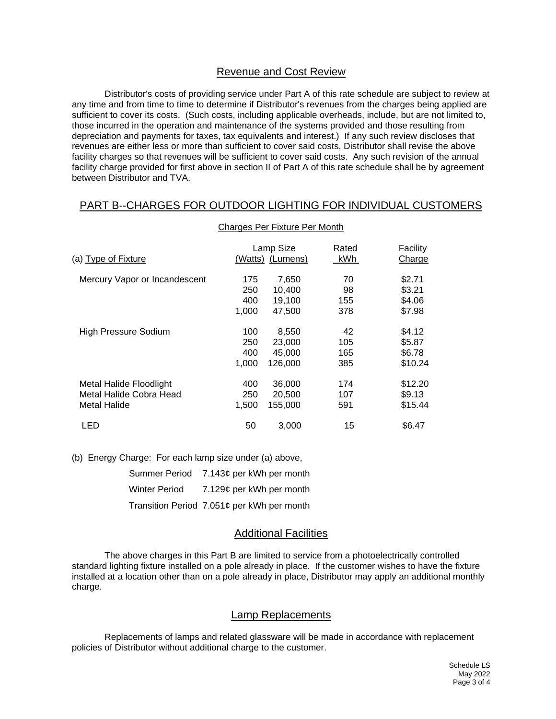#### Revenue and Cost Review

Distributor's costs of providing service under Part A of this rate schedule are subject to review at any time and from time to time to determine if Distributor's revenues from the charges being applied are sufficient to cover its costs. (Such costs, including applicable overheads, include, but are not limited to, those incurred in the operation and maintenance of the systems provided and those resulting from depreciation and payments for taxes, tax equivalents and interest.) If any such review discloses that revenues are either less or more than sufficient to cover said costs, Distributor shall revise the above facility charges so that revenues will be sufficient to cover said costs. Any such revision of the annual facility charge provided for first above in section II of Part A of this rate schedule shall be by agreement between Distributor and TVA.

# PART B--CHARGES FOR OUTDOOR LIGHTING FOR INDIVIDUAL CUSTOMERS

| (a) Type of Fixture           |       | Lamp Size<br>(Watts) (Lumens) | Rated<br>kWh | Facility<br>Charge |
|-------------------------------|-------|-------------------------------|--------------|--------------------|
| Mercury Vapor or Incandescent | 175   | 7,650                         | 70           | \$2.71             |
|                               | 250   | 10,400                        | 98           | \$3.21             |
|                               | 400   | 19,100                        | 155          | \$4.06             |
|                               | 1,000 | 47.500                        | 378          | \$7.98             |
| High Pressure Sodium          | 100   | 8,550                         | 42           | \$4.12             |
|                               | 250   | 23,000                        | 105          | \$5.87             |
|                               | 400   | 45,000                        | 165          | \$6.78             |
|                               | 1,000 | 126,000                       | 385          | \$10.24            |
| Metal Halide Floodlight       | 400   | 36,000                        | 174          | \$12.20            |
| Metal Halide Cobra Head       | 250   | 20,500                        | 107          | \$9.13             |
| Metal Halide                  | 1,500 | 155.000                       | 591          | \$15.44            |
| LED                           | 50    | 3,000                         | 15           | \$6.47             |

#### Charges Per Fixture Per Month

(b) Energy Charge: For each lamp size under (a) above,

|                      | Summer Period 7.143¢ per kWh per month     |
|----------------------|--------------------------------------------|
| <b>Winter Period</b> | 7.129¢ per kWh per month                   |
|                      | Transition Period 7.051¢ per kWh per month |

#### Additional Facilities

The above charges in this Part B are limited to service from a photoelectrically controlled standard lighting fixture installed on a pole already in place. If the customer wishes to have the fixture installed at a location other than on a pole already in place, Distributor may apply an additional monthly charge.

#### Lamp Replacements

Replacements of lamps and related glassware will be made in accordance with replacement policies of Distributor without additional charge to the customer.